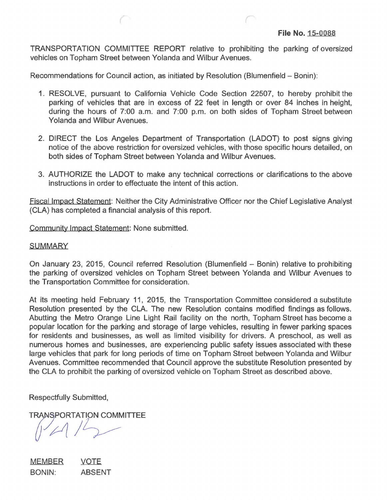TRANSPORTATION COMMITIEE REPORT relative to prohibiting the parking of oversized vehicles on Topham Street between Yolanda and Wilbur Avenues.

Recommendations for Council action, as initiated by Resolution (Blumenfield – Bonin):

- 1 . RESOLVE, pursuant to California Vehicle Code Section 22507, to hereby prohibit the parking of vehicles that are in excess of 22 feet in length or over 84 inches in height, during the hours of 7:00 a.m. and 7:00 p.m. on both sides of Topham Street between Yolanda and Wilbur Avenues.
- 2. DIRECT the Los Angeles Department of Transportation (LADOT) to post signs giving notice of the above restriction for oversized vehicles, with those specific hours detailed, on both sides of Topham Street between Yolanda and Wilbur Avenues.
- 3. AUTHORIZE the LADOT to make any technical corrections or clarifications to the above instructions in order to effectuate the intent of this action.

Fiscal Impact Statement: Neither the City Administrative Officer nor the Chief Legislative Analyst (CLA) has completed a financial analysis of this report.

Community Impact Statement: None submitted.

## **SUMMARY**

On January 23, 2015, Council referred Resolution (Blumenfield - Bonin) relative to prohibiting the parking of oversized vehicles on Topham Street between Yolanda and Wilbur Avenues to the Transportation Committee for consideration.

At its meeting held February 11, 2015, the Transportation Committee considered a substitute Resolution presented by the CLA. The new Resolution contains modified findings as follows. Abutting the Metro Orange Line Light Rail facility on the north, Topham Street has become a popular location for the parking and storage of large vehicles, resulting in fewer parking spaces for residents and businesses, as well as limited visibility for drivers. A preschool, as well as numerous homes and businesses, are experiencing public safety issues associated with these large vehicles that park for long periods of time on Topham Street between Yolanda and Wilbur Avenues. Committee recommended that Council approve the substitute Resolution presented by the CLA to prohibit the parking of oversized vehicle on Topham Street as described above.

Respectfully Submitted,

**TRANSPORTATION COMMITTEE** 

MEMBER BONIN: VOTE ABSENT